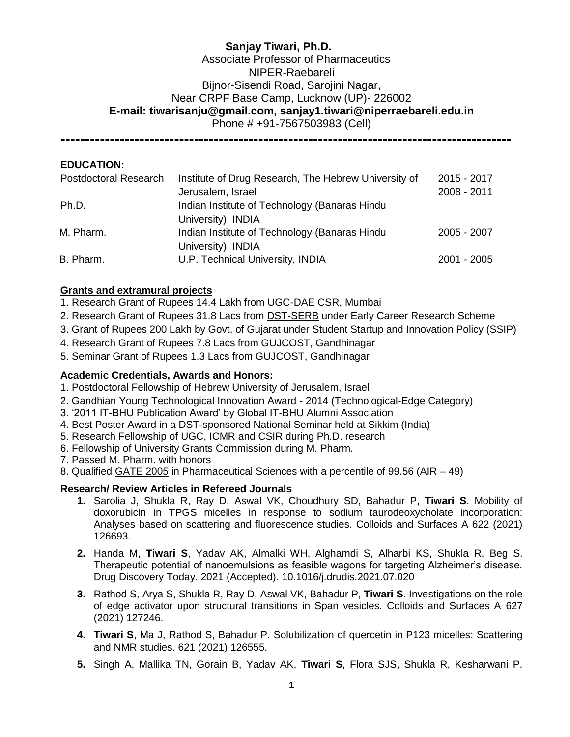# **Sanjay Tiwari, Ph.D.** Associate Professor of Pharmaceutics NIPER-Raebareli Bijnor-Sisendi Road, Sarojini Nagar, Near CRPF Base Camp, Lucknow (UP)- 226002 **E-mail: [tiwarisanju@gmail.com,](mailto:tiwarisanju@gmail.com) sanjay1.tiwari@niperraebareli.edu.in** Phone # +91-7567503983 (Cell)

**-------------------------------------------------------------------------------------------**

## **EDUCATION:**

| <b>Postdoctoral Research</b> | Institute of Drug Research, The Hebrew University of<br>Jerusalem, Israel | 2015 - 2017<br>2008 - 2011 |
|------------------------------|---------------------------------------------------------------------------|----------------------------|
| Ph.D.                        | Indian Institute of Technology (Banaras Hindu                             |                            |
|                              | University), INDIA                                                        |                            |
| M. Pharm.                    | Indian Institute of Technology (Banaras Hindu<br>University), INDIA       | 2005 - 2007                |
| B. Pharm.                    | U.P. Technical University, INDIA                                          | $2001 - 2005$              |

### **Grants and extramural projects**

- 1. Research Grant of Rupees 14.4 Lakh from UGC-DAE CSR, Mumbai
- 2. Research Grant of Rupees 31.8 Lacs from DST-SERB under Early Career Research Scheme
- 3. Grant of Rupees 200 Lakh by Govt. of Gujarat under Student Startup and Innovation Policy (SSIP)
- 4. Research Grant of Rupees 7.8 Lacs from GUJCOST, Gandhinagar
- 5. Seminar Grant of Rupees 1.3 Lacs from GUJCOST, Gandhinagar

#### **Academic Credentials, Awards and Honors:**

- 1. Postdoctoral Fellowship of Hebrew University of Jerusalem, Israel
- 2. Gandhian Young Technological Innovation Award 2014 (Technological-Edge Category)
- 3. '2011 IT-BHU Publication Award' by Global IT-BHU Alumni Association
- 4. Best Poster Award in a DST-sponsored National Seminar held at Sikkim (India)
- 5. Research Fellowship of UGC, ICMR and CSIR during Ph.D. research
- 6. Fellowship of University Grants Commission during M. Pharm.
- 7. Passed M. Pharm. with honors
- 8. Qualified GATE 2005 in Pharmaceutical Sciences with a percentile of 99.56 (AIR 49)

#### **Research/ Review Articles in Refereed Journals**

- **1.** Sarolia J, Shukla R, Ray D, Aswal VK, Choudhury SD, Bahadur P, **Tiwari S**. Mobility of doxorubicin in TPGS micelles in response to sodium taurodeoxycholate incorporation: Analyses based on scattering and fluorescence studies. Colloids and Surfaces A 622 (2021) 126693.
- **2.** Handa M, **Tiwari S**, Yadav AK, Almalki WH, Alghamdi S, Alharbi KS, Shukla R, Beg S. Therapeutic potential of nanoemulsions as feasible wagons for targeting Alzheimer's disease. Drug Discovery Today. 2021 (Accepted). [10.1016/j.drudis.2021.07.020](https://doi.org/10.1016/j.drudis.2021.07.020)
- **3.** Rathod S, Arya S, Shukla R, Ray D, Aswal VK, Bahadur P, **Tiwari S**. Investigations on the role of edge activator upon structural transitions in Span vesicles. Colloids and Surfaces A 627 (2021) 127246.
- **4. Tiwari S**, Ma J, Rathod S, Bahadur P. Solubilization of quercetin in P123 micelles: Scattering and NMR studies. 621 (2021) 126555.
- **5.** Singh A, Mallika TN, Gorain B, Yadav AK, **Tiwari S**, Flora SJS, Shukla R, Kesharwani P.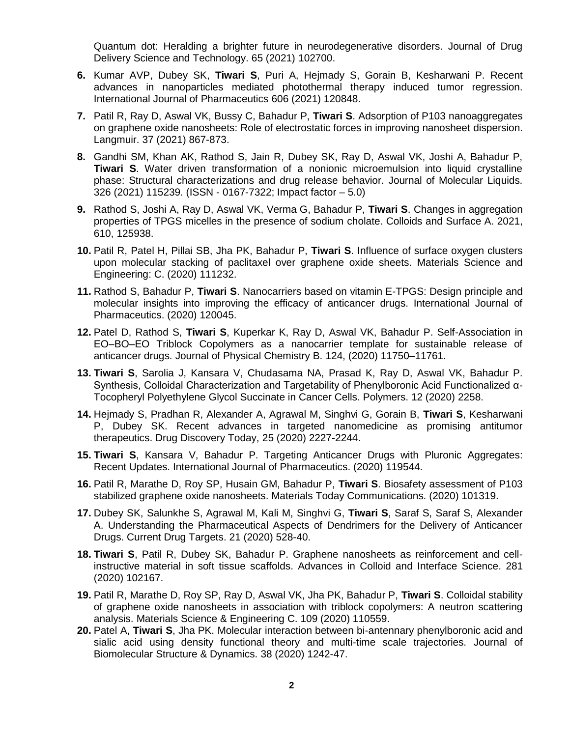Quantum dot: Heralding a brighter future in neurodegenerative disorders. Journal of Drug Delivery Science and Technology. 65 (2021) 102700.

- **6.** Kumar AVP, Dubey SK, **Tiwari S**, Puri A, Hejmady S, Gorain B, Kesharwani P. Recent advances in nanoparticles mediated photothermal therapy induced tumor regression. International Journal of Pharmaceutics 606 (2021) 120848.
- **7.** Patil R, Ray D, Aswal VK, Bussy C, Bahadur P, **Tiwari S**. Adsorption of P103 nanoaggregates on graphene oxide nanosheets: Role of electrostatic forces in improving nanosheet dispersion. Langmuir. 37 (2021) 867-873.
- **8.** Gandhi SM, Khan AK, Rathod S, Jain R, Dubey SK, Ray D, Aswal VK, Joshi A, Bahadur P, **Tiwari S**. Water driven transformation of a nonionic microemulsion into liquid crystalline phase: Structural characterizations and drug release behavior. Journal of Molecular Liquids. 326 (2021) 115239. (ISSN - 0167-7322; Impact factor – 5.0)
- **9.** Rathod S, Joshi A, Ray D, Aswal VK, Verma G, Bahadur P, **Tiwari S**. Changes in aggregation properties of TPGS micelles in the presence of sodium cholate. Colloids and Surface A. 2021, 610, 125938.
- **10.** Patil R, Patel H, Pillai SB, Jha PK, Bahadur P, **Tiwari S**. Influence of surface oxygen clusters upon molecular stacking of paclitaxel over graphene oxide sheets. Materials Science and Engineering: C. (2020) 111232.
- **11.** Rathod S, Bahadur P, **Tiwari S**. Nanocarriers based on vitamin E-TPGS: Design principle and molecular insights into improving the efficacy of anticancer drugs. International Journal of Pharmaceutics. (2020) 120045.
- **12.** Patel D, Rathod S, **Tiwari S**, Kuperkar K, Ray D, Aswal VK, Bahadur P. Self-Association in EO–BO–EO Triblock Copolymers as a nanocarrier template for sustainable release of anticancer drugs. Journal of Physical Chemistry B. 124, (2020) 11750–11761.
- **13. Tiwari S**, Sarolia J, Kansara V, Chudasama NA, Prasad K, Ray D, Aswal VK, Bahadur P. Synthesis, Colloidal Characterization and Targetability of Phenylboronic Acid Functionalized α-Tocopheryl Polyethylene Glycol Succinate in Cancer Cells. Polymers. 12 (2020) 2258.
- **14.** Hejmady S, Pradhan R, Alexander A, Agrawal M, Singhvi G, Gorain B, **Tiwari S**, Kesharwani P, Dubey SK. Recent advances in targeted nanomedicine as promising antitumor therapeutics. Drug Discovery Today, 25 (2020) 2227-2244.
- **15. Tiwari S**, Kansara V, Bahadur P. Targeting Anticancer Drugs with Pluronic Aggregates: Recent Updates. International Journal of Pharmaceutics. (2020) 119544.
- **16.** Patil R, Marathe D, Roy SP, Husain GM, Bahadur P, **Tiwari S**. Biosafety assessment of P103 stabilized graphene oxide nanosheets. Materials Today Communications. (2020) 101319.
- **17.** Dubey SK, Salunkhe S, Agrawal M, Kali M, Singhvi G, **Tiwari S**, Saraf S, Saraf S, Alexander A. Understanding the Pharmaceutical Aspects of Dendrimers for the Delivery of Anticancer Drugs. Current Drug Targets. 21 (2020) 528-40.
- **18. Tiwari S**, Patil R, Dubey SK, Bahadur P. Graphene nanosheets as reinforcement and cellinstructive material in soft tissue scaffolds. Advances in Colloid and Interface Science. 281 (2020) 102167.
- **19.** Patil R, Marathe D, Roy SP, Ray D, Aswal VK, Jha PK, Bahadur P, **Tiwari S**. Colloidal stability of graphene oxide nanosheets in association with triblock copolymers: A neutron scattering analysis. Materials Science & Engineering C. 109 (2020) 110559.
- **20.** Patel A, **Tiwari S**, Jha PK. Molecular interaction between bi-antennary phenylboronic acid and sialic acid using density functional theory and multi-time scale trajectories. Journal of Biomolecular Structure & Dynamics. 38 (2020) 1242-47.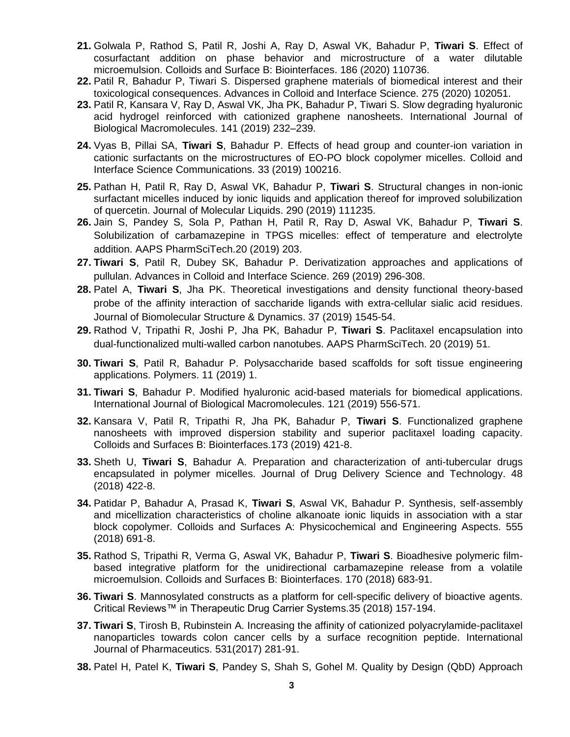- **21.** Golwala P, Rathod S, Patil R, Joshi A, Ray D, Aswal VK, Bahadur P, **Tiwari S**. Effect of cosurfactant addition on phase behavior and microstructure of a water dilutable microemulsion. Colloids and Surface B: Biointerfaces. 186 (2020) 110736.
- **22.** Patil R, Bahadur P, Tiwari S. Dispersed graphene materials of biomedical interest and their toxicological consequences. Advances in Colloid and Interface Science. 275 (2020) 102051.
- **23.** Patil R, Kansara V, Ray D, Aswal VK, Jha PK, Bahadur P, Tiwari S. Slow degrading hyaluronic acid hydrogel reinforced with cationized graphene nanosheets. International Journal of Biological Macromolecules. 141 (2019) 232–239.
- **24.** Vyas B, Pillai SA, **Tiwari S**, Bahadur P. Effects of head group and counter-ion variation in cationic surfactants on the microstructures of EO-PO block copolymer micelles. Colloid and Interface Science Communications. 33 (2019) 100216.
- **25.** Pathan H, Patil R, Ray D, Aswal VK, Bahadur P, **Tiwari S**. Structural changes in non-ionic surfactant micelles induced by ionic liquids and application thereof for improved solubilization of quercetin. Journal of Molecular Liquids. 290 (2019) 111235.
- **26.** Jain S, Pandey S, Sola P, Pathan H, Patil R, Ray D, Aswal VK, Bahadur P, **Tiwari S**. Solubilization of carbamazepine in TPGS micelles: effect of temperature and electrolyte addition. AAPS PharmSciTech.20 (2019) 203.
- **27. Tiwari S**, Patil R, Dubey SK, Bahadur P. Derivatization approaches and applications of pullulan. Advances in Colloid and Interface Science. 269 (2019) 296-308.
- **28.** Patel A, **Tiwari S**, Jha PK. Theoretical investigations and density functional theory-based probe of the affinity interaction of saccharide ligands with extra-cellular sialic acid residues. Journal of Biomolecular Structure & Dynamics. 37 (2019) 1545-54.
- **29.** Rathod V, Tripathi R, Joshi P, Jha PK, Bahadur P, **Tiwari S**. Paclitaxel encapsulation into dual-functionalized multi-walled carbon nanotubes. AAPS PharmSciTech. 20 (2019) 51.
- **30. Tiwari S**, Patil R, Bahadur P. Polysaccharide based scaffolds for soft tissue engineering applications. Polymers. 11 (2019) 1.
- **31. Tiwari S**, Bahadur P. Modified hyaluronic acid-based materials for biomedical applications. International Journal of Biological Macromolecules. 121 (2019) 556-571.
- **32.** Kansara V, Patil R, Tripathi R, Jha PK, Bahadur P, **Tiwari S**. Functionalized graphene nanosheets with improved dispersion stability and superior paclitaxel loading capacity. Colloids and Surfaces B: Biointerfaces.173 (2019) 421-8.
- **33.** Sheth U, **Tiwari S**, Bahadur A. Preparation and characterization of anti-tubercular drugs encapsulated in polymer micelles. Journal of Drug Delivery Science and Technology. 48 (2018) 422-8.
- **34.** Patidar P, Bahadur A, Prasad K, **Tiwari S**, Aswal VK, Bahadur P. Synthesis, self-assembly and micellization characteristics of choline alkanoate ionic liquids in association with a star block copolymer. Colloids and Surfaces A: Physicochemical and Engineering Aspects. 555 (2018) 691-8.
- **35.** Rathod S, Tripathi R, Verma G, Aswal VK, Bahadur P, **Tiwari S**. Bioadhesive polymeric filmbased integrative platform for the unidirectional carbamazepine release from a volatile microemulsion. Colloids and Surfaces B: Biointerfaces. 170 (2018) 683-91.
- **36. Tiwari S**. Mannosylated constructs as a platform for cell-specific delivery of bioactive agents. Critical Reviews™ in Therapeutic Drug Carrier Systems.35 (2018) 157-194.
- **37. Tiwari S**, Tirosh B, Rubinstein A. Increasing the affinity of cationized polyacrylamide-paclitaxel nanoparticles towards colon cancer cells by a surface recognition peptide. International Journal of Pharmaceutics. 531(2017) 281-91.
- **38.** Patel H, Patel K, **Tiwari S**, Pandey S, Shah S, Gohel M. Quality by Design (QbD) Approach